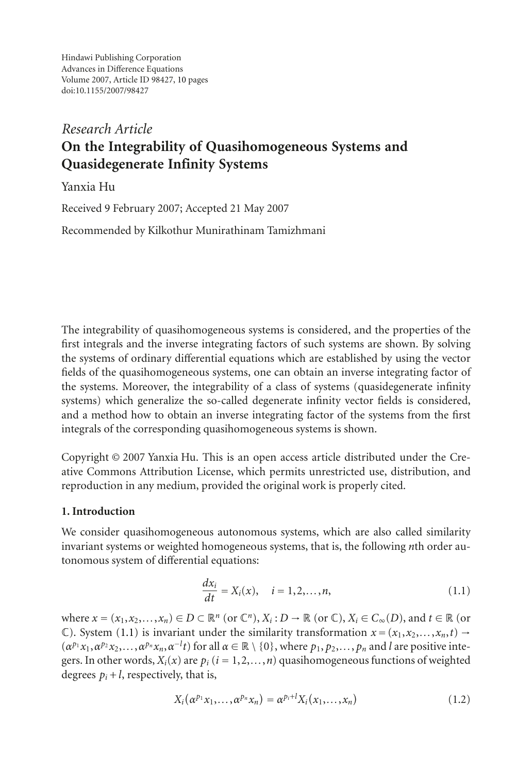Hindawi Publishing Corporation Advances in Difference Equations Volume 2007, Article ID 98427, [10](#page-9-0) pages doi:10.1155/2007/98427

# *Research Article* **On the Integrability of Quasihomogeneous Systems and Quasidegenerate Infinity Systems**

Yanxia Hu

Received 9 February 2007; Accepted 21 May 2007

Recommended by Kilkothur Munirathinam Tamizhmani

The integrability of quasihomogeneous systems is considered, and the properties of the first integrals and the inverse integrating factors of such systems are shown. By solving the systems of ordinary differential equations which are established by using the vector fields of the quasihomogeneous systems, one can obtain an inverse integrating factor of the systems. Moreover, the integrability of a class of systems (quasidegenerate infinity systems) which generalize the so-called degenerate infinity vector fields is considered, and a method how to obtain an inverse integrating factor of the systems from the first integrals of the corresponding quasihomogeneous systems is shown.

Copyright © 2007 Yanxia Hu. This is an open access article distributed under the Creative Commons Attribution License, which permits unrestricted use, distribution, and reproduction in any medium, provided the original work is properly cited.

## **1. Introduction**

We consider quasihomogeneous autonomous systems, which are also called similarity invariant systems or weighted homogeneous systems, that is, the following *n*th order autonomous system of differential equations:

<span id="page-0-0"></span>
$$
\frac{dx_i}{dt} = X_i(x), \quad i = 1, 2, ..., n,
$$
\n(1.1)

where  $x = (x_1, x_2, \ldots, x_n) \in D \subset \mathbb{R}^n$  (or  $\mathbb{C}^n$ ),  $X_i : D \to \mathbb{R}$  (or  $\mathbb{C}$ ),  $X_i \in C_\infty(D)$ , and  $t \in \mathbb{R}$  (or C). System [\(1.1\)](#page-0-0) is invariant under the similarity transformation  $x = (x_1, x_2, \ldots, x_n, t) \rightarrow$  $(\alpha^{p_1}x_1, \alpha^{p_2}x_2, \ldots, \alpha^{p_n}x_n, \alpha^{-l}t)$  for all  $\alpha \in \mathbb{R} \setminus \{0\}$ , where  $p_1, p_2, \ldots, p_n$  and *l* are positive integers. In other words,  $X_i(x)$  are  $p_i$  ( $i = 1, 2, ..., n$ ) quasihomogeneous functions of weighted degrees  $p_i + l$ , respectively, that is,

$$
X_i(\alpha^{p_1}x_1,\ldots,\alpha^{p_n}x_n)=\alpha^{p_i+1}X_i(x_1,\ldots,x_n)
$$
\n(1.2)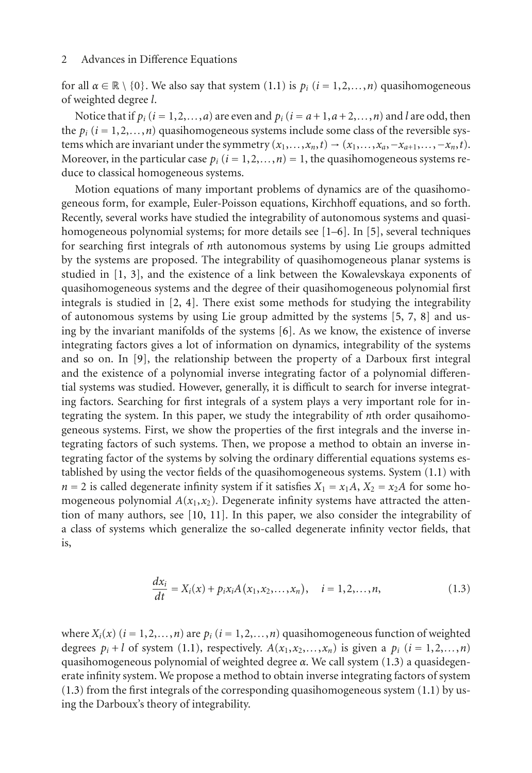for all  $\alpha \in \mathbb{R} \setminus \{0\}$ . We also say that system  $(1.1)$  is  $p_i$   $(i = 1, 2, ..., n)$  quasihomogeneous of weighted degree *l*.

Notice that if  $p_i$  ( $i = 1, 2, \ldots, a$ ) are even and  $p_i$  ( $i = a+1, a+2, \ldots, n$ ) and *l* are odd, then the  $p_i$  ( $i = 1, 2, \ldots, n$ ) quasihomogeneous systems include some class of the reversible systems which are invariant under the symmetry  $(x_1, \ldots, x_n, t) \rightarrow (x_1, \ldots, x_a, -x_{a+1}, \ldots, -x_n, t)$ . Moreover, in the particular case  $p_i$  ( $i = 1, 2, \ldots, n$ ) = 1, the quasihomogeneous systems reduce to classical homogeneous systems.

Motion equations of many important problems of dynamics are of the quasihomogeneous form, for example, Euler-Poisson equations, Kirchhoff equations, and so forth. Recently, several works have studied the integrability of autonomous systems and quasi-homogeneous polynomial systems; for more details see [\[1](#page-9-1)[–6\]](#page-9-2). In [\[5\]](#page-9-3), several techniques for searching first integrals of *n*th autonomous systems by using Lie groups admitted by the systems are proposed. The integrability of quasihomogeneous planar systems is studied in [\[1,](#page-9-1) [3\]](#page-9-4), and the existence of a link between the Kowalevskaya exponents of quasihomogeneous systems and the degree of their quasihomogeneous polynomial first integrals is studied in [\[2](#page-9-5), [4](#page-9-6)]. There exist some methods for studying the integrability of autonomous systems by using Lie group admitted by the systems [\[5,](#page-9-3) [7,](#page-9-7) [8\]](#page-9-8) and using by the invariant manifolds of the systems [\[6\]](#page-9-2). As we know, the existence of inverse integrating factors gives a lot of information on dynamics, integrability of the systems and so on. In [\[9\]](#page-9-9), the relationship between the property of a Darboux first integral and the existence of a polynomial inverse integrating factor of a polynomial differential systems was studied. However, generally, it is difficult to search for inverse integrating factors. Searching for first integrals of a system plays a very important role for integrating the system. In this paper, we study the integrability of *n*th order qusaihomogeneous systems. First, we show the properties of the first integrals and the inverse integrating factors of such systems. Then, we propose a method to obtain an inverse integrating factor of the systems by solving the ordinary differential equations systems established by using the vector fields of the quasihomogeneous systems. System [\(1.1\)](#page-0-0) with  $n = 2$  is called degenerate infinity system if it satisfies  $X_1 = x_1 A$ ,  $X_2 = x_2 A$  for some homogeneous polynomial  $A(x_1, x_2)$ . Degenerate infinity systems have attracted the attention of many authors, see [\[10,](#page-9-10) [11](#page-9-11)]. In this paper, we also consider the integrability of a class of systems which generalize the so-called degenerate infinity vector fields, that is,

<span id="page-1-0"></span>
$$
\frac{dx_i}{dt} = X_i(x) + p_i x_i A(x_1, x_2, \dots, x_n), \quad i = 1, 2, \dots, n,
$$
\n(1.3)

where  $X_i(x)$  ( $i = 1, 2, ..., n$ ) are  $p_i$  ( $i = 1, 2, ..., n$ ) quasihomogeneous function of weighted degrees  $p_i + l$  of system [\(1.1\)](#page-0-0), respectively.  $A(x_1, x_2, \ldots, x_n)$  is given a  $p_i$  ( $i = 1, 2, \ldots, n$ ) quasihomogeneous polynomial of weighted degree *α*. We call system [\(1.3\)](#page-1-0) a quasidegenerate infinity system. We propose a method to obtain inverse integrating factors of system [\(1.3\)](#page-1-0) from the first integrals of the corresponding quasihomogeneous system [\(1.1\)](#page-0-0) by using the Darboux's theory of integrability.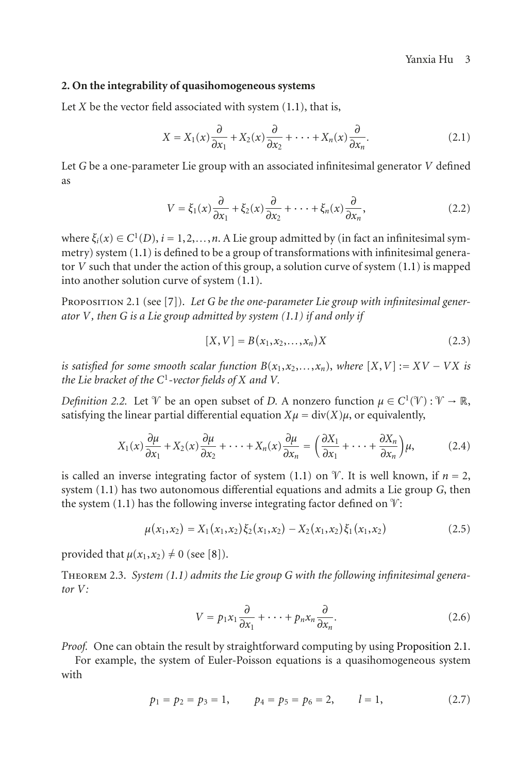#### **2. On the integrability of quasihomogeneous systems**

Let  $X$  be the vector field associated with system  $(1.1)$ , that is,

$$
X = X_1(x)\frac{\partial}{\partial x_1} + X_2(x)\frac{\partial}{\partial x_2} + \dots + X_n(x)\frac{\partial}{\partial x_n}.
$$
 (2.1)

Let *G* be a one-parameter Lie group with an associated infinitesimal generator *V* defined as

$$
V = \xi_1(x)\frac{\partial}{\partial x_1} + \xi_2(x)\frac{\partial}{\partial x_2} + \dots + \xi_n(x)\frac{\partial}{\partial x_n},
$$
\n(2.2)

where  $\xi_i(x) \in C^1(D)$ ,  $i = 1, 2, ..., n$ . A Lie group admitted by (in fact an infinitesimal symmetry) system [\(1.1\)](#page-0-0) is defined to be a group of transformations with infinitesimal generator *V* such that under the action of this group, a solution curve of system [\(1.1\)](#page-0-0) is mapped into another solution curve of system [\(1.1\)](#page-0-0).

<span id="page-2-0"></span>Proposition 2.1 (see [\[7\]](#page-9-7)). *Let G be the one-parameter Lie group with infinitesimal generator V, then G is a Lie group admitted by system [\(1.1\)](#page-0-0) if and only if*

$$
[X, V] = B(x_1, x_2, \dots, x_n)X
$$
 (2.3)

*is satisfied for some smooth scalar function*  $B(x_1, x_2, \ldots, x_n)$ , where  $[X, V] := XV - VX$  *is the Lie bracket of the C*1*-vector fields of X and V.*

<span id="page-2-1"></span>*Definition 2.2.* Let  $\mathcal{V}$  be an open subset of *D.* A nonzero function  $\mu \in C^1(\mathcal{V}) : \mathcal{V} \to \mathbb{R}$ , satisfying the linear partial differential equation  $X\mu = \text{div}(X)\mu$ , or equivalently,

$$
X_1(x)\frac{\partial\mu}{\partial x_1} + X_2(x)\frac{\partial\mu}{\partial x_2} + \dots + X_n(x)\frac{\partial\mu}{\partial x_n} = \left(\frac{\partial X_1}{\partial x_1} + \dots + \frac{\partial X_n}{\partial x_n}\right)\mu,
$$
 (2.4)

is called an inverse integrating factor of system  $(1.1)$  on  $\mathcal V$ . It is well known, if  $n = 2$ , system [\(1.1\)](#page-0-0) has two autonomous differential equations and admits a Lie group *G*, then the system [\(1.1\)](#page-0-0) has the following inverse integrating factor defined on  $\mathbb{V}$ :

$$
\mu(x_1, x_2) = X_1(x_1, x_2) \xi_2(x_1, x_2) - X_2(x_1, x_2) \xi_1(x_1, x_2)
$$
\n(2.5)

provided that  $\mu(x_1, x_2) \neq 0$  (see [\[8](#page-9-8)]).

Theorem 2.3. *System [\(1.1\)](#page-0-0) admits the Lie group G with the following infinitesimal generator V:*

$$
V = p_1 x_1 \frac{\partial}{\partial x_1} + \dots + p_n x_n \frac{\partial}{\partial x_n}.
$$
 (2.6)

*Proof.* One can obtain the result by straightforward computing by using [Proposition 2.1.](#page-2-0)

For example, the system of Euler-Poisson equations is a quasihomogeneous system with

$$
p_1 = p_2 = p_3 = 1,
$$
  $p_4 = p_5 = p_6 = 2,$   $l = 1,$  (2.7)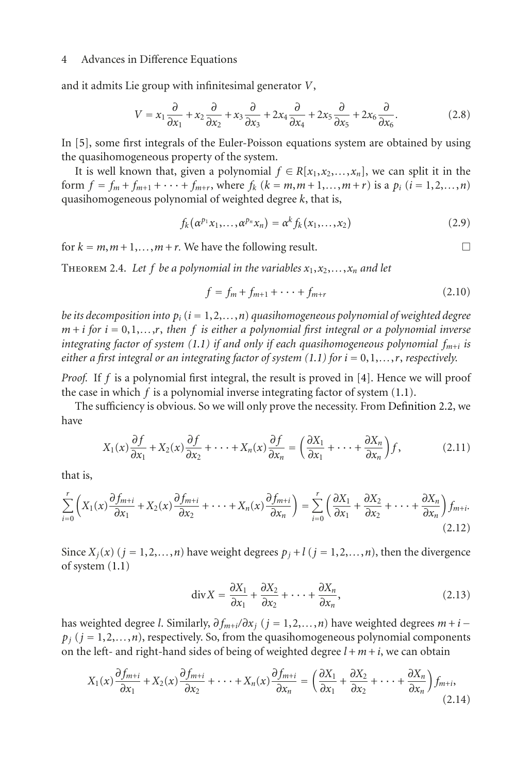and it admits Lie group with infinitesimal generator *V*,

$$
V = x_1 \frac{\partial}{\partial x_1} + x_2 \frac{\partial}{\partial x_2} + x_3 \frac{\partial}{\partial x_3} + 2x_4 \frac{\partial}{\partial x_4} + 2x_5 \frac{\partial}{\partial x_5} + 2x_6 \frac{\partial}{\partial x_6}.
$$
 (2.8)

In [\[5\]](#page-9-3), some first integrals of the Euler-Poisson equations system are obtained by using the quasihomogeneous property of the system.

It is well known that, given a polynomial  $f \in R[x_1, x_2, \ldots, x_n]$ , we can split it in the form  $f = f_m + f_{m+1} + \cdots + f_{m+r}$ , where  $f_k$  ( $k = m, m+1, \ldots, m+r$ ) is a  $p_i$  ( $i = 1, 2, \ldots, n$ ) quasihomogeneous polynomial of weighted degree *k*, that is,

$$
f_k(\alpha^{p_1}x_1,\ldots,\alpha^{p_n}x_n)=\alpha^k f_k(x_1,\ldots,x_2)
$$
\n(2.9)

<span id="page-3-0"></span>for  $k = m, m+1, \ldots, m+r$ . We have the following result.

THEOREM 2.4. Let f be a polynomial in the variables  $x_1, x_2, \ldots, x_n$  and let

$$
f = f_m + f_{m+1} + \dots + f_{m+r}
$$
 (2.10)

*be its decomposition into pi* (*<sup>i</sup>* <sup>=</sup> 1,2,*...*,*n*) *quasihomogeneous polynomial of weighted degree <sup>m</sup>* <sup>+</sup> *<sup>i</sup> for <sup>i</sup>* <sup>=</sup> 0,1,*...*,*r*, *then <sup>f</sup> is either a polynomial first integral or a polynomial inverse integrating factor of system [\(1.1\)](#page-0-0) if and only if each quasihomogeneous polynomial fm*+*<sup>i</sup> is either a first integral or an integrating factor of system*  $(1.1)$  *for*  $i = 0, 1, \ldots, r$ *, <i>respectively.* 

*Proof.* If *f* is a polynomial first integral, the result is proved in [\[4](#page-9-6)]. Hence we will proof the case in which  $f$  is a polynomial inverse integrating factor of system  $(1.1)$ .

The sufficiency is obvious. So we will only prove the necessity. From [Definition 2.2,](#page-2-1) we have

$$
X_1(x)\frac{\partial f}{\partial x_1} + X_2(x)\frac{\partial f}{\partial x_2} + \dots + X_n(x)\frac{\partial f}{\partial x_n} = \left(\frac{\partial X_1}{\partial x_1} + \dots + \frac{\partial X_n}{\partial x_n}\right)f,
$$
(2.11)

that is,

$$
\sum_{i=0}^r \left( X_1(x) \frac{\partial f_{m+i}}{\partial x_1} + X_2(x) \frac{\partial f_{m+i}}{\partial x_2} + \dots + X_n(x) \frac{\partial f_{m+i}}{\partial x_n} \right) = \sum_{i=0}^r \left( \frac{\partial X_1}{\partial x_1} + \frac{\partial X_2}{\partial x_2} + \dots + \frac{\partial X_n}{\partial x_n} \right) f_{m+i}.
$$
\n(2.12)

Since  $X_i(x)$  ( $j = 1, 2, ..., n$ ) have weight degrees  $p_j + l$  ( $j = 1, 2, ..., n$ ), then the divergence of system [\(1.1\)](#page-0-0)

$$
\operatorname{div} X = \frac{\partial X_1}{\partial x_1} + \frac{\partial X_2}{\partial x_2} + \dots + \frac{\partial X_n}{\partial x_n},
$$
\n(2.13)

has weighted degree *<sup>l</sup>*. Similarly, *∂ fm*+*i/∂xj* (*<sup>j</sup>* <sup>=</sup> 1,2,*...*,*n*) have weighted degrees *<sup>m</sup>* <sup>+</sup> *<sup>i</sup>* <sup>−</sup>  $p_j$  ( $j = 1, 2, \ldots, n$ ), respectively. So, from the quasihomogeneous polynomial components on the left- and right-hand sides of being of weighted degree  $l + m + i$ , we can obtain

$$
X_1(x)\frac{\partial f_{m+i}}{\partial x_1} + X_2(x)\frac{\partial f_{m+i}}{\partial x_2} + \dots + X_n(x)\frac{\partial f_{m+i}}{\partial x_n} = \left(\frac{\partial X_1}{\partial x_1} + \frac{\partial X_2}{\partial x_2} + \dots + \frac{\partial X_n}{\partial x_n}\right) f_{m+i},\tag{2.14}
$$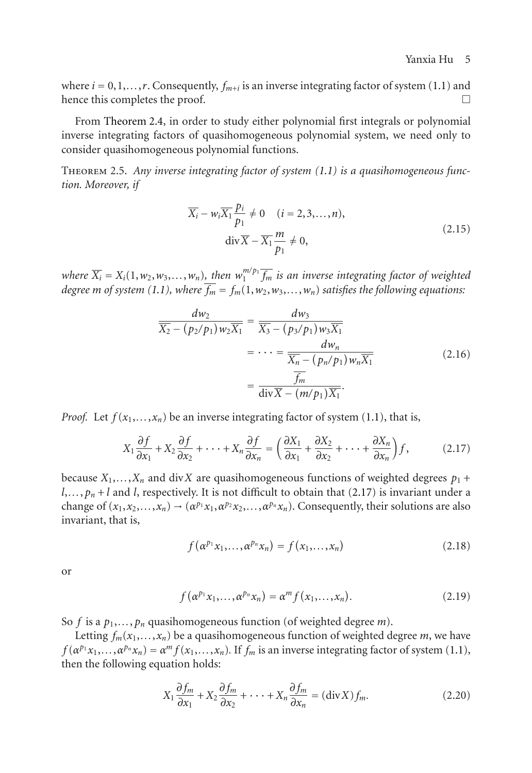where  $i = 0, 1, \ldots, r$ . Consequently,  $f_{m+i}$  is an inverse integrating factor of system [\(1.1\)](#page-0-0) and hence this completes the proof. hence this completes the proof.

From [Theorem 2.4,](#page-3-0) in order to study either polynomial first integrals or polynomial inverse integrating factors of quasihomogeneous polynomial system, we need only to consider quasihomogeneous polynomial functions.

<span id="page-4-3"></span>Theorem 2.5. *Any inverse integrating factor of system [\(1.1\)](#page-0-0) is a quasihomogeneous function. Moreover, if*

$$
\overline{X_i} - w_i \overline{X_1} \frac{p_i}{p_1} \neq 0 \quad (i = 2, 3, \dots, n),
$$
  

$$
\text{div}\overline{X} - \overline{X_1} \frac{m}{p_1} \neq 0,
$$
\n(2.15)

*where*  $\overline{X_i} = X_i(1, w_2, w_3, \ldots, w_n)$ , then  $w_1^{m/p_1} \overline{f_m}$  is an inverse integrating factor of weighted *degree m of system* [\(1.1\)](#page-0-0)*, where*  $\overline{f_m} = f_m(1, w_2, w_3, \ldots, w_n)$  *satisfies the following equations:* 

<span id="page-4-2"></span>
$$
\frac{dw_2}{\overline{X_2} - (p_2/p_1)w_2\overline{X_1}} = \frac{dw_3}{\overline{X_3} - (p_3/p_1)w_3\overline{X_1}}\n= \dots = \frac{dw_n}{\frac{\overline{X_n} - (p_n/p_1)w_n\overline{X_1}}{\frac{\overline{f_m}}{\text{div }\overline{X} - (m/p_1)\overline{X_1}}}.
$$
\n(2.16)

*Proof.* Let  $f(x_1,...,x_n)$  be an inverse integrating factor of system [\(1.1\)](#page-0-0), that is,

$$
X_1 \frac{\partial f}{\partial x_1} + X_2 \frac{\partial f}{\partial x_2} + \dots + X_n \frac{\partial f}{\partial x_n} = \left(\frac{\partial X_1}{\partial x_1} + \frac{\partial X_2}{\partial x_2} + \dots + \frac{\partial X_n}{\partial x_n}\right) f,\tag{2.17}
$$

because  $X_1, \ldots, X_n$  and div*X* are quasihomogeneous functions of weighted degrees  $p_1$  +  $l$ ,...,  $p_n + l$  and *l*, respectively. It is not difficult to obtain that [\(2.17\)](#page-4-0) is invariant under a change of  $(x_1, x_2, \ldots, x_n) \rightarrow (\alpha^{p_1} x_1, \alpha^{p_2} x_2, \ldots, \alpha^{p_n} x_n)$ . Consequently, their solutions are also invariant, that is,

<span id="page-4-0"></span>
$$
f(\alpha^{p_1}x_1,\ldots,\alpha^{p_n}x_n)=f(x_1,\ldots,x_n)
$$
\n(2.18)

or

<span id="page-4-1"></span>
$$
f(\alpha^{p_1}x_1,\ldots,\alpha^{p_n}x_n)=\alpha^m f(x_1,\ldots,x_n). \hspace{1cm} (2.19)
$$

So *f* is a  $p_1, \ldots, p_n$  quasihomogeneous function (of weighted degree *m*).

Letting  $f_m(x_1,...,x_n)$  be a quasihomogeneous function of weighted degree *m*, we have  $f(\alpha^{p_1}x_1,\ldots,\alpha^{p_n}x_n)=\alpha^m f(x_1,\ldots,x_n)$ . If  $f_m$  is an inverse integrating factor of system [\(1.1\)](#page-0-0), then the following equation holds:

$$
X_1 \frac{\partial f_m}{\partial x_1} + X_2 \frac{\partial f_m}{\partial x_2} + \dots + X_n \frac{\partial f_m}{\partial x_n} = (\text{div}\,X) f_m. \tag{2.20}
$$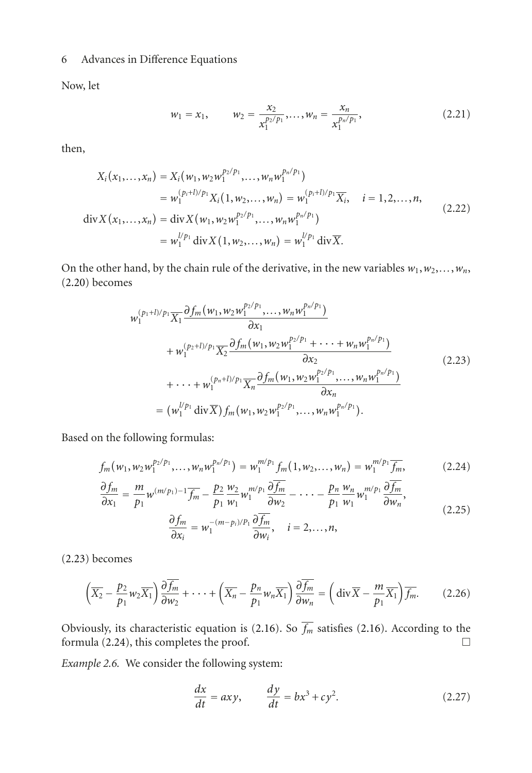Now, let

$$
w_1 = x_1, \qquad w_2 = \frac{x_2}{x_1^{p_2/p_1}}, \dots, w_n = \frac{x_n}{x_1^{p_n/p_1}}, \tag{2.21}
$$

then,

$$
X_i(x_1,...,x_n) = X_i(w_1, w_2 w_1^{p_2/p_1},...,w_n w_1^{p_n/p_1})
$$
  
\n
$$
= w_1^{(p_i+l)/p_1} X_i(1, w_2,...,w_n) = w_1^{(p_i+l)/p_1} \overline{X}_i, \quad i = 1, 2,..., n,
$$
  
\ndiv  $X(x_1,...,x_n) = \text{div } X(w_1, w_2 w_1^{p_2/p_1},...,w_n w_1^{p_n/p_1})$   
\n
$$
= w_1^{l/p_1} \text{div } X(1, w_2,...,w_n) = w_1^{l/p_1} \text{div } \overline{X}.
$$
 (2.22)

On the other hand, by the chain rule of the derivative, in the new variables  $w_1, w_2, \ldots, w_n$ , [\(2.20\)](#page-4-1) becomes

<span id="page-5-0"></span>
$$
w_1^{(p_1+l)/p_1} \overline{X_1} \frac{\partial f_m(w_1, w_2 w_1^{p_2/p_1}, \dots, w_n w_1^{p_n/p_1})}{\partial x_1}
$$
  
+  $w_1^{(p_2+l)/p_1} \overline{X_2} \frac{\partial f_m(w_1, w_2 w_1^{p_2/p_1} + \dots + w_n w_1^{p_n/p_1})}{\partial x_2}$   
+  $\dots + w_1^{(p_n+l)/p_1} \overline{X_n} \frac{\partial f_m(w_1, w_2 w_1^{p_2/p_1}, \dots, w_n w_1^{p_n/p_1})}{\partial x_n}$   
=  $(w_1^{l/p_1} \operatorname{div} \overline{X}) f_m(w_1, w_2 w_1^{p_2/p_1}, \dots, w_n w_1^{p_n/p_1}).$  (2.23)

Based on the following formulas:

<span id="page-5-1"></span>
$$
f_m(w_1, w_2 w_1^{p_2/p_1}, \dots, w_n w_1^{p_n/p_1}) = w_1^{m/p_1} f_m(1, w_2, \dots, w_n) = w_1^{m/p_1} \overline{f_m},
$$
(2.24)

$$
\frac{\partial f_m}{\partial x_1} = \frac{m}{p_1} w^{(m/p_1) - 1} \overline{f_m} - \frac{p_2}{p_1} \frac{w_2}{w_1} w_1^{m/p_1} \frac{\partial \overline{f_m}}{\partial w_2} - \dots - \frac{p_n}{p_1} \frac{w_n}{w_1} w_1^{m/p_1} \frac{\partial \overline{f_m}}{\partial w_n},
$$
\n
$$
\frac{\partial f_m}{\partial x_i} = w_1^{-(m-p_i)/p_1} \frac{\partial \overline{f_m}}{\partial w_i}, \quad i = 2, \dots, n,
$$
\n(2.25)

[\(2.23\)](#page-5-0) becomes

$$
\left(\overline{X_2} - \frac{p_2}{p_1} w_2 \overline{X_1}\right) \frac{\partial \overline{f_m}}{\partial w_2} + \dots + \left(\overline{X_n} - \frac{p_n}{p_1} w_n \overline{X_1}\right) \frac{\partial \overline{f_m}}{\partial w_n} = \left(\text{div}\,\overline{X} - \frac{m}{p_1} \overline{X_1}\right) \overline{f_m}. \tag{2.26}
$$

Obviously, its characteristic equation is [\(2.16\)](#page-4-2). So  $\overline{f_m}$  satisfies (2.16). According to the formula [\(2.24\)](#page-5-1), this completes the proof.  $\Box$ 

*Example 2.6.* We consider the following system:

$$
\frac{dx}{dt} = axy, \qquad \frac{dy}{dt} = bx^3 + cy^2.
$$
 (2.27)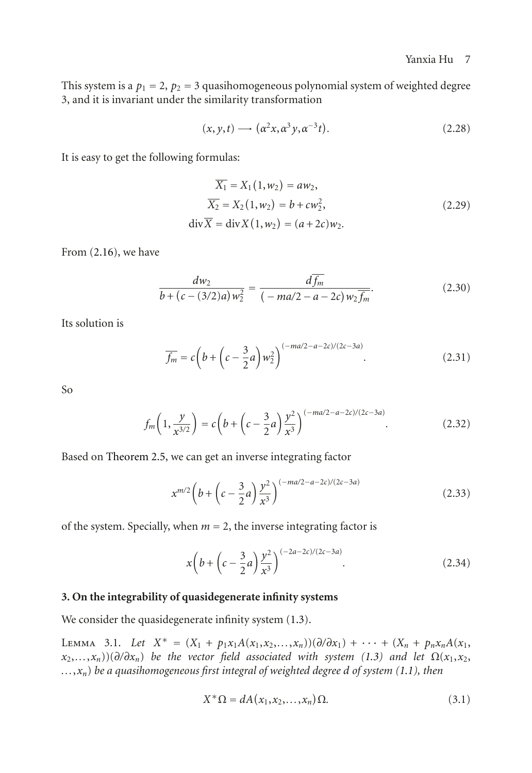This system is a  $p_1 = 2$ ,  $p_2 = 3$  quasihomogeneous polynomial system of weighted degree 3, and it is invariant under the similarity transformation

$$
(x, y, t) \longrightarrow (\alpha^2 x, \alpha^3 y, \alpha^{-3} t). \tag{2.28}
$$

It is easy to get the following formulas:

$$
\overline{X_1} = X_1(1, w_2) = aw_2,\n\overline{X_2} = X_2(1, w_2) = b + cw_2^2,\ndiv \overline{X} = div X(1, w_2) = (a + 2c)w_2.
$$
\n(2.29)

From [\(2.16\)](#page-4-2), we have

$$
\frac{dw_2}{b + (c - (3/2)a)w_2^2} = \frac{d\overline{f_m}}{(-ma/2 - a - 2c)w_2\overline{f_m}}.\tag{2.30}
$$

Its solution is

$$
\overline{f_m} = c \left( b + \left( c - \frac{3}{2} a \right) w_2^2 \right)^{(-ma/2 - a - 2c)/(2c - 3a)}.
$$
\n(2.31)

So

$$
f_m\left(1,\frac{y}{x^{3/2}}\right) = c\left(b + \left(c - \frac{3}{2}a\right)\frac{y^2}{x^3}\right)^{(-ma/2 - a - 2c)/(2c - 3a)}.\tag{2.32}
$$

Based on [Theorem 2.5,](#page-4-3) we can get an inverse integrating factor

$$
x^{m/2} \left( b + \left( c - \frac{3}{2} a \right) \frac{y^2}{x^3} \right)^{(-ma/2 - a - 2c)/(2c - 3a)} \tag{2.33}
$$

of the system. Specially, when  $m = 2$ , the inverse integrating factor is

$$
x\left(b+\left(c-\frac{3}{2}a\right)\frac{y^2}{x^3}\right)^{(-2a-2c)/(2c-3a)}.\tag{2.34}
$$

#### **3. On the integrability of quasidegenerate infinity systems**

<span id="page-6-0"></span>We consider the quasidegenerate infinity system  $(1.3)$ .

LEMMA 3.1. *Let*  $X^* = (X_1 + p_1x_1A(x_1,x_2,...,x_n))(\partial/\partial x_1) + \cdots + (X_n + p_nx_nA(x_1,$  $(x_2,...,x_n)(\partial/\partial x_n)$  *be the vector field associated with system [\(1.3\)](#page-1-0)* and let  $\Omega(x_1,x_2)$ *...*,*xn*) *be a quasihomogeneous first integral of weighted degree d of system [\(1.1\)](#page-0-0), then*

$$
X^*\Omega = dA(x_1, x_2, \dots, x_n)\Omega.
$$
\n(3.1)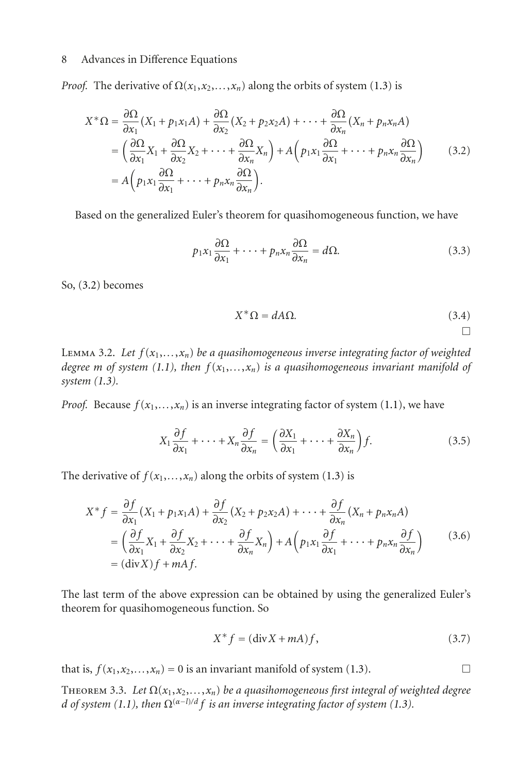*Proof.* The derivative of  $\Omega(x_1, x_2, \ldots, x_n)$  along the orbits of system [\(1.3\)](#page-1-0) is

$$
X^*\Omega = \frac{\partial \Omega}{\partial x_1}(X_1 + p_1x_1A) + \frac{\partial \Omega}{\partial x_2}(X_2 + p_2x_2A) + \cdots + \frac{\partial \Omega}{\partial x_n}(X_n + p_nx_nA)
$$
  
=  $\left(\frac{\partial \Omega}{\partial x_1}X_1 + \frac{\partial \Omega}{\partial x_2}X_2 + \cdots + \frac{\partial \Omega}{\partial x_n}X_n\right) + A\left(p_1x_1\frac{\partial \Omega}{\partial x_1} + \cdots + p_nx_n\frac{\partial \Omega}{\partial x_n}\right)$  (3.2)  
=  $A\left(p_1x_1\frac{\partial \Omega}{\partial x_1} + \cdots + p_nx_n\frac{\partial \Omega}{\partial x_n}\right).$ 

Based on the generalized Euler's theorem for quasihomogeneous function, we have

<span id="page-7-0"></span>
$$
p_1 x_1 \frac{\partial \Omega}{\partial x_1} + \dots + p_n x_n \frac{\partial \Omega}{\partial x_n} = d\Omega. \tag{3.3}
$$

So, [\(3.2\)](#page-7-0) becomes

$$
X^*\Omega = dA\Omega. \tag{3.4}
$$

 $\Box$ 

<span id="page-7-1"></span>Lemma 3.2. *Let f* (*x*1,*...*,*xn*) *be a quasihomogeneous inverse integrating factor of weighted degree m* of system [\(1.1\)](#page-0-0), then  $f(x_1,...,x_n)$  *is a quasihomogeneous invariant manifold of system [\(1.3\)](#page-1-0).*

*Proof.* Because  $f(x_1,...,x_n)$  is an inverse integrating factor of system [\(1.1\)](#page-0-0), we have

$$
X_1 \frac{\partial f}{\partial x_1} + \dots + X_n \frac{\partial f}{\partial x_n} = \left(\frac{\partial X_1}{\partial x_1} + \dots + \frac{\partial X_n}{\partial x_n}\right) f. \tag{3.5}
$$

The derivative of  $f(x_1,...,x_n)$  along the orbits of system [\(1.3\)](#page-1-0) is

$$
X^* f = \frac{\partial f}{\partial x_1} (X_1 + p_1 x_1 A) + \frac{\partial f}{\partial x_2} (X_2 + p_2 x_2 A) + \dots + \frac{\partial f}{\partial x_n} (X_n + p_n x_n A)
$$
  
=  $\left( \frac{\partial f}{\partial x_1} X_1 + \frac{\partial f}{\partial x_2} X_2 + \dots + \frac{\partial f}{\partial x_n} X_n \right) + A \left( p_1 x_1 \frac{\partial f}{\partial x_1} + \dots + p_n x_n \frac{\partial f}{\partial x_n} \right)$  (3.6)  
=  $(\text{div } X) f + m A f$ .

The last term of the above expression can be obtained by using the generalized Euler's theorem for quasihomogeneous function. So

$$
X^* f = (\text{div} X + mA) f, \qquad (3.7)
$$

that is,  $f(x_1, x_2, \ldots, x_n) = 0$  is an invariant manifold of system [\(1.3\)](#page-1-0).

Theorem 3.3. *Let* Ω(*x*1,*x*2,*...*,*xn*) *be a quasihomogeneous first integral of weighted degree d* of system [\(1.1\)](#page-0-0), then  $\Omega^{(\alpha-1)/d}$  *f* is an inverse integrating factor of system [\(1.3\)](#page-1-0).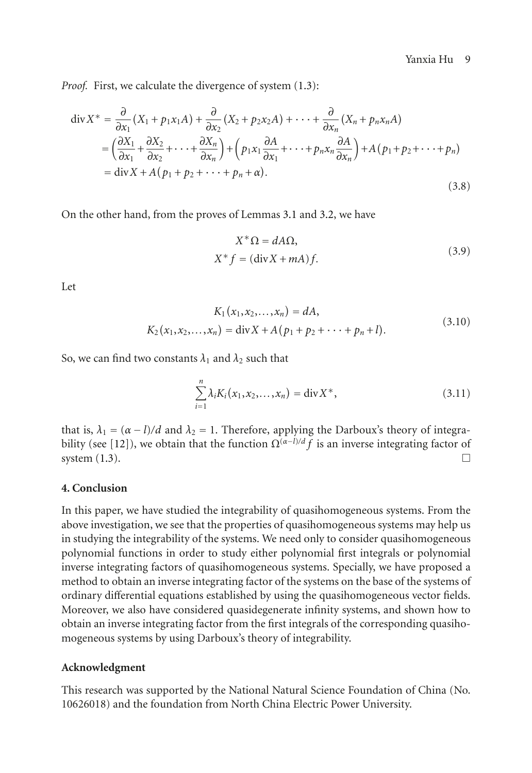*Proof.* First, we calculate the divergence of system [\(1.3\)](#page-1-0):

$$
\operatorname{div} X^* = \frac{\partial}{\partial x_1} (X_1 + p_1 x_1 A) + \frac{\partial}{\partial x_2} (X_2 + p_2 x_2 A) + \dots + \frac{\partial}{\partial x_n} (X_n + p_n x_n A)
$$
  
=  $\left( \frac{\partial X_1}{\partial x_1} + \frac{\partial X_2}{\partial x_2} + \dots + \frac{\partial X_n}{\partial x_n} \right) + \left( p_1 x_1 \frac{\partial A}{\partial x_1} + \dots + p_n x_n \frac{\partial A}{\partial x_n} \right) + A (p_1 + p_2 + \dots + p_n)$   
=  $\operatorname{div} X + A (p_1 + p_2 + \dots + p_n + \alpha).$  (3.8)

On the other hand, from the proves of Lemmas [3.1](#page-6-0) and [3.2,](#page-7-1) we have

$$
X^*\Omega = dA\Omega,
$$
  
\n
$$
X^*f = (\text{div}X + mA)f.
$$
\n(3.9)

Let

$$
K_1(x_1, x_2,...,x_n) = dA,
$$
  
\n
$$
K_2(x_1, x_2,...,x_n) = \text{div}X + A(p_1 + p_2 + \dots + p_n + l).
$$
 (3.10)

So, we can find two constants  $\lambda_1$  and  $\lambda_2$  such that

$$
\sum_{i=1}^{n} \lambda_i K_i(x_1, x_2, \dots, x_n) = \text{div} X^*,
$$
\n(3.11)

that is,  $\lambda_1 = (\alpha - l)/d$  and  $\lambda_2 = 1$ . Therefore, applying the Darboux's theory of integra-bility (see [\[12](#page-9-12)]), we obtain that the function  $\Omega^{(\alpha-l)/d}$  *f* is an inverse integrating factor of system  $(1.3)$ .

#### **4. Conclusion**

In this paper, we have studied the integrability of quasihomogeneous systems. From the above investigation, we see that the properties of quasihomogeneous systems may help us in studying the integrability of the systems. We need only to consider quasihomogeneous polynomial functions in order to study either polynomial first integrals or polynomial inverse integrating factors of quasihomogeneous systems. Specially, we have proposed a method to obtain an inverse integrating factor of the systems on the base of the systems of ordinary differential equations established by using the quasihomogeneous vector fields. Moreover, we also have considered quasidegenerate infinity systems, and shown how to obtain an inverse integrating factor from the first integrals of the corresponding quasihomogeneous systems by using Darboux's theory of integrability.

## **Acknowledgment**

This research was supported by the National Natural Science Foundation of China (No. 10626018) and the foundation from North China Electric Power University.